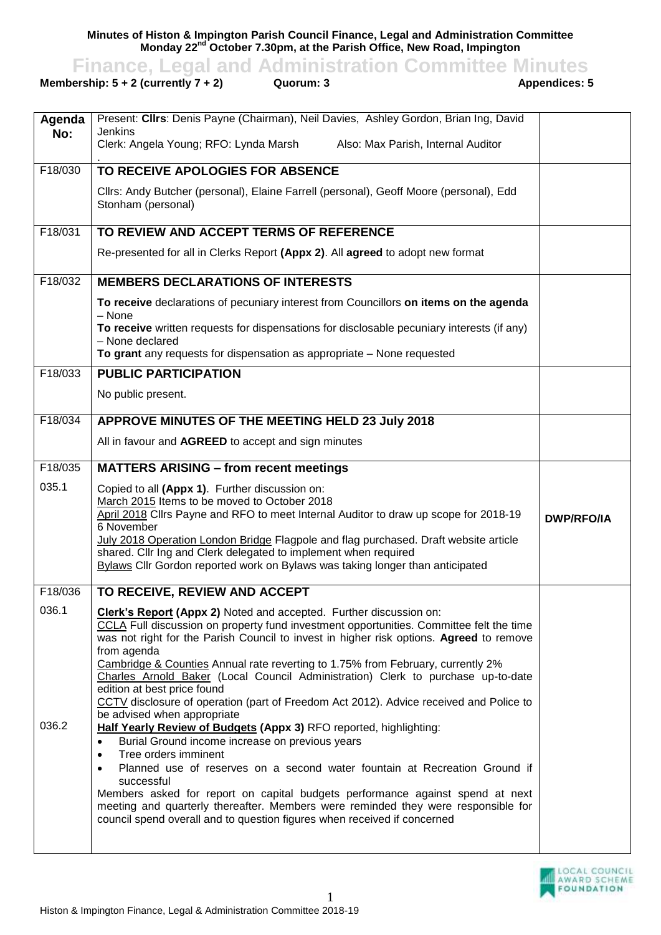**Minutes of Histon & Impington Parish Council Finance, Legal and Administration Committee Monday 22nd October 7.30pm, at the Parish Office, New Road, Impington**

Finance, Legal and Administration Committee Minutes<br>ership: 5 + 2 (currently 7 + 2) Quorum: 3<br>Appendices: 5

**Membership:**  $5 + 2$  **(currently**  $7 + 2$ **)** 

| Agenda<br>No: | Present: Cllrs: Denis Payne (Chairman), Neil Davies, Ashley Gordon, Brian Ing, David<br><b>Jenkins</b>                                                                                                                                                                                                                                                                                                                                           |                   |
|---------------|--------------------------------------------------------------------------------------------------------------------------------------------------------------------------------------------------------------------------------------------------------------------------------------------------------------------------------------------------------------------------------------------------------------------------------------------------|-------------------|
|               | Clerk: Angela Young; RFO: Lynda Marsh<br>Also: Max Parish, Internal Auditor                                                                                                                                                                                                                                                                                                                                                                      |                   |
| F18/030       | TO RECEIVE APOLOGIES FOR ABSENCE                                                                                                                                                                                                                                                                                                                                                                                                                 |                   |
|               | Cllrs: Andy Butcher (personal), Elaine Farrell (personal), Geoff Moore (personal), Edd<br>Stonham (personal)                                                                                                                                                                                                                                                                                                                                     |                   |
| F18/031       | TO REVIEW AND ACCEPT TERMS OF REFERENCE                                                                                                                                                                                                                                                                                                                                                                                                          |                   |
|               | Re-presented for all in Clerks Report (Appx 2). All agreed to adopt new format                                                                                                                                                                                                                                                                                                                                                                   |                   |
| F18/032       | <b>MEMBERS DECLARATIONS OF INTERESTS</b>                                                                                                                                                                                                                                                                                                                                                                                                         |                   |
|               | To receive declarations of pecuniary interest from Councillors on items on the agenda                                                                                                                                                                                                                                                                                                                                                            |                   |
|               | - None<br>To receive written requests for dispensations for disclosable pecuniary interests (if any)<br>- None declared                                                                                                                                                                                                                                                                                                                          |                   |
|               | To grant any requests for dispensation as appropriate - None requested                                                                                                                                                                                                                                                                                                                                                                           |                   |
| F18/033       | <b>PUBLIC PARTICIPATION</b>                                                                                                                                                                                                                                                                                                                                                                                                                      |                   |
|               | No public present.                                                                                                                                                                                                                                                                                                                                                                                                                               |                   |
| F18/034       | APPROVE MINUTES OF THE MEETING HELD 23 July 2018                                                                                                                                                                                                                                                                                                                                                                                                 |                   |
|               | All in favour and AGREED to accept and sign minutes                                                                                                                                                                                                                                                                                                                                                                                              |                   |
| F18/035       | <b>MATTERS ARISING - from recent meetings</b>                                                                                                                                                                                                                                                                                                                                                                                                    |                   |
| 035.1         | Copied to all (Appx 1). Further discussion on:<br>March 2015 Items to be moved to October 2018<br>April 2018 Cllrs Payne and RFO to meet Internal Auditor to draw up scope for 2018-19<br>6 November<br>July 2018 Operation London Bridge Flagpole and flag purchased. Draft website article<br>shared. Cllr Ing and Clerk delegated to implement when required<br>Bylaws Cllr Gordon reported work on Bylaws was taking longer than anticipated | <b>DWP/RFO/IA</b> |
| F18/036       | TO RECEIVE, REVIEW AND ACCEPT                                                                                                                                                                                                                                                                                                                                                                                                                    |                   |
| 036.1         | <b>Clerk's Report (Appx 2)</b> Noted and accepted. Further discussion on:<br>CCLA Full discussion on property fund investment opportunities. Committee felt the time<br>was not right for the Parish Council to invest in higher risk options. Agreed to remove<br>from agenda<br>Cambridge & Counties Annual rate reverting to 1.75% from February, currently 2%                                                                                |                   |